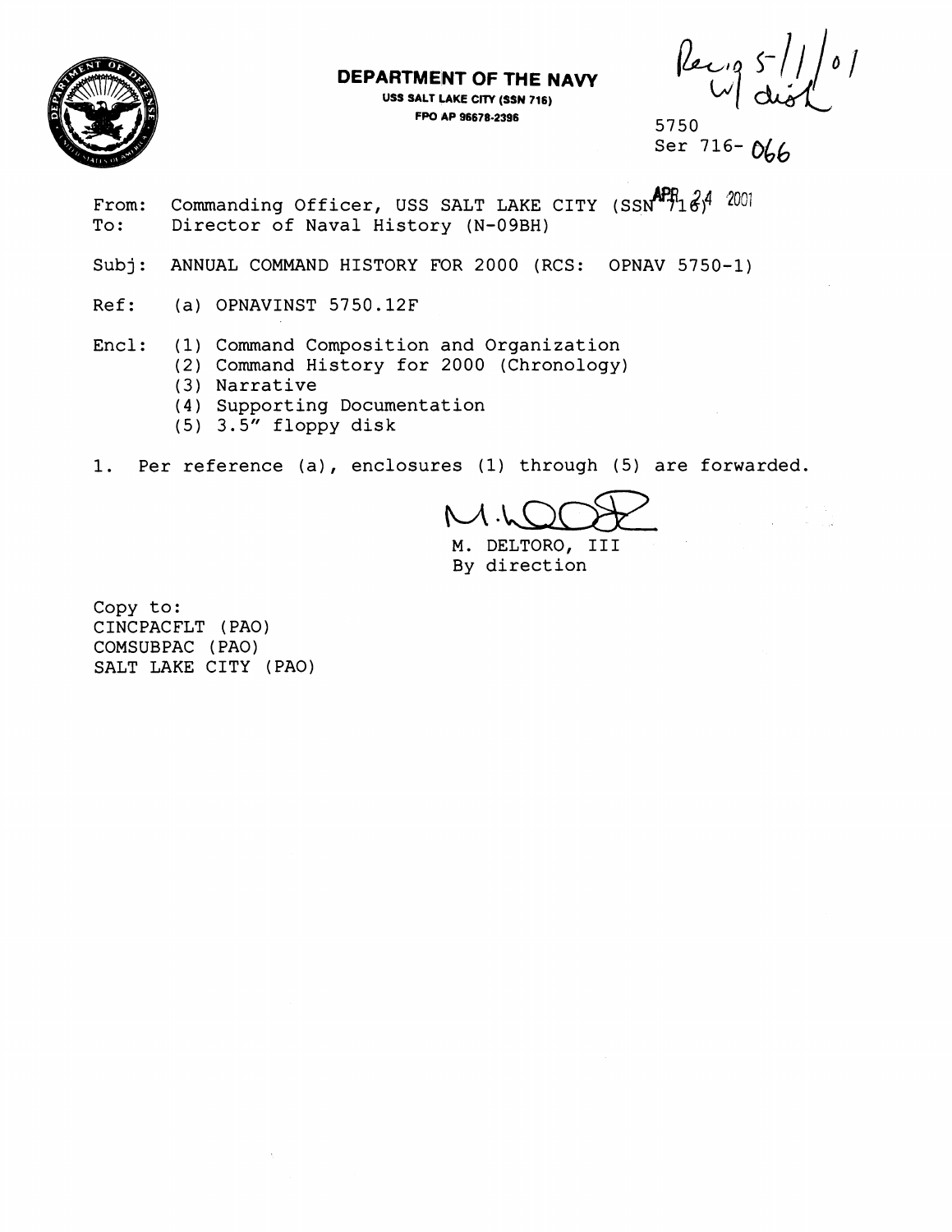

### **DEPARTMENT OF THE NAVY**

**USS SALT LAKE CITY (SSN 716) FW AP 96678-2396** 5750

Recip S

- From: Commanding Officer, USS SALT LAKE CITY  $(SSM^{APR}16)^4$  2001 rrom: Commanding Officer, USS SALI LAKE CI<br>To: Director of Naval History (N-09BH)
- Subj: ANNUAL COMMAND HISTORY FOR 2000 (RCS: OPNAV 5750-1)
- Ref: (a) OPNAVINST 5750.12F

Encl: (1) Command Composition and Organization

- (2) Command History for 2000 (Chronology)
- (3) Narrative
- (4) Supporting Documentation
- $(5)$  3.5" floppy disk
- 1. Per reference (a), enclosures (1) through (5) are forwarded.

 $M$  .

M. DELTORO, I11 By direction

Copy to: CINCPACFLT (PAO) COMSUBPAC ( PAO) SALT LAKE CITY (PAO)

Ser  $716 - N_6$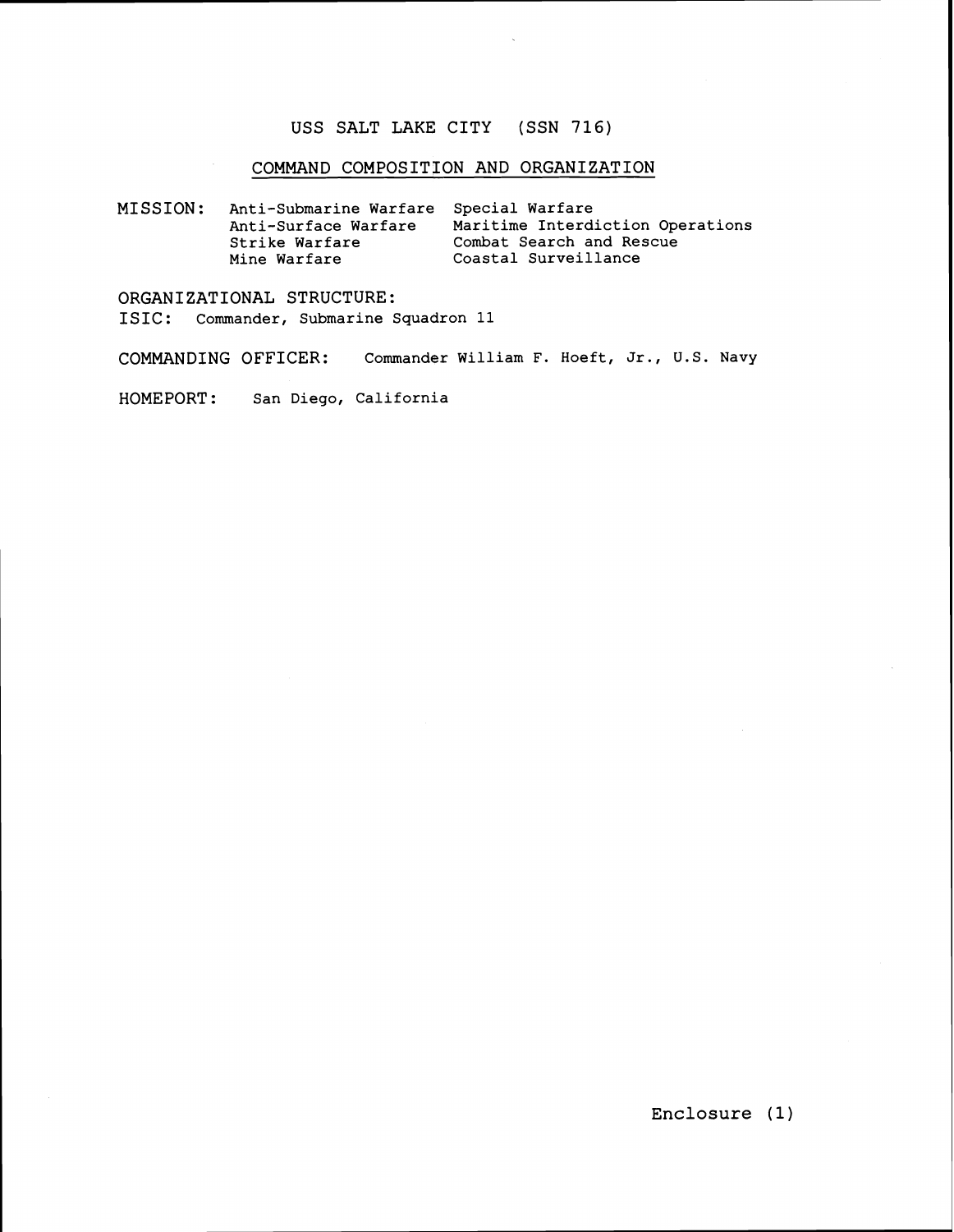#### **USS SALT LAKE CITY (SSN 716)**

### **COMMAND COMPOSITION AND ORGANIZATION**

**MISSION: Anti-Submarine Warfare Special Warfare**  Maritime Interdiction Operations<br>Combat Search and Rescue Strike Warfare<br>Mine Warfare **Mine Warfare Coastal Surveillance** 

**ORGANIZATIONAL STRUCTURE: ISIC** : **Commander, Submarine Squadron 11** 

**COMMANDING OFFICER: Commander William F. Hoeft, Jr., U. S. Navy** 

**HOMEPORT: San Diego, California** 

**Enclosure (1)**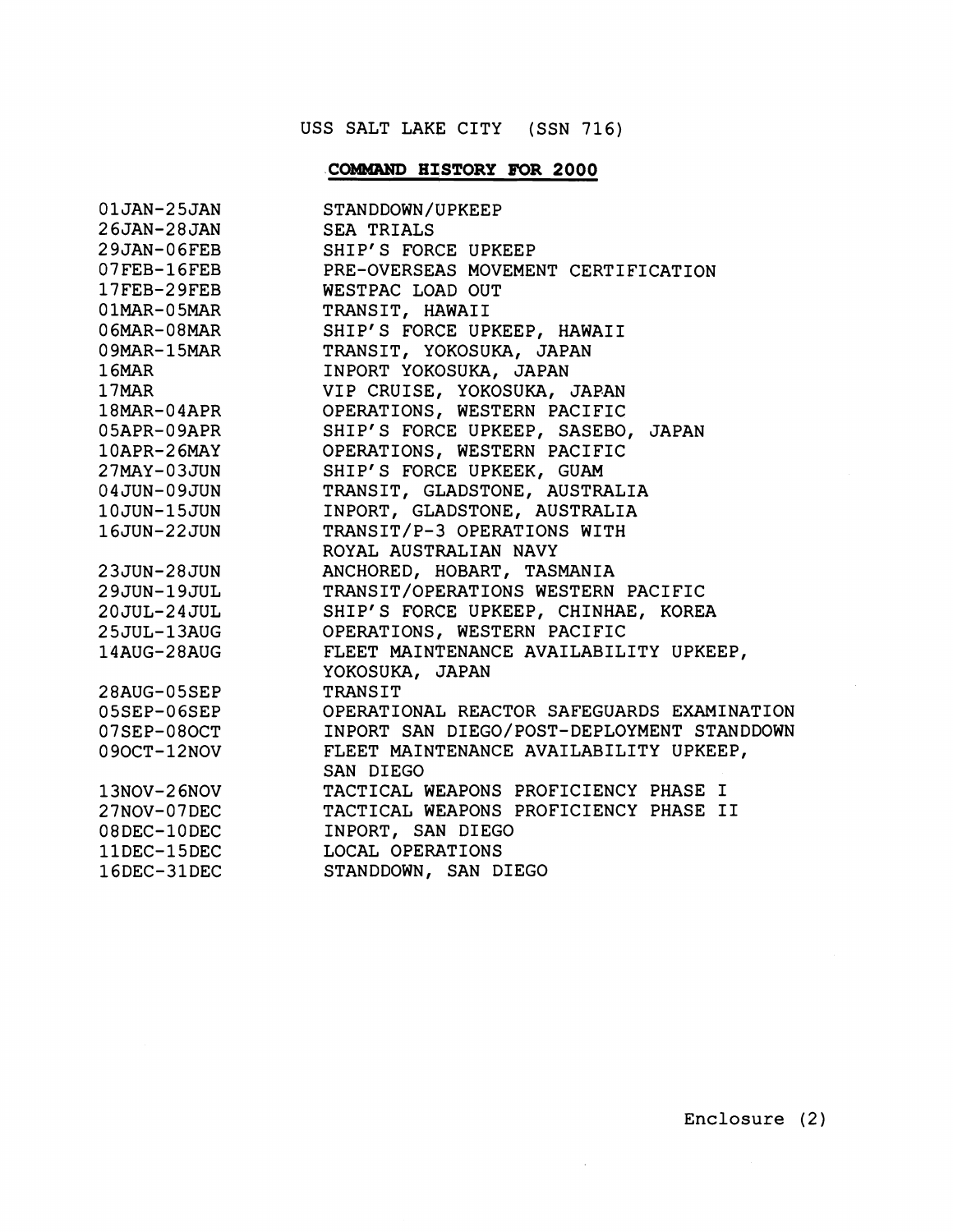# USS SALT LAKE CITY (SSN 716)

# **COMMAND HISTORY FOR 2000**

|                                                                                                                                                    | 01JAN-25JAN STANDDOWN/UPKEEP<br>26JAN-28JAN SEA TRIALS<br>29JAN-06FEB SHIP'S FORCE UPKEEP<br>07FEB-16FEB PRE-OVERSEAS MOVEMENT CERTIFICATION<br>17FEB-29FEB WESTPAC LOAD OUT<br>01MAR-05MAR TRANSIT, HAWAII<br>06MAR-08MAR SHIP'S FORCE UP |
|----------------------------------------------------------------------------------------------------------------------------------------------------|--------------------------------------------------------------------------------------------------------------------------------------------------------------------------------------------------------------------------------------------|
|                                                                                                                                                    |                                                                                                                                                                                                                                            |
|                                                                                                                                                    |                                                                                                                                                                                                                                            |
|                                                                                                                                                    |                                                                                                                                                                                                                                            |
|                                                                                                                                                    |                                                                                                                                                                                                                                            |
|                                                                                                                                                    |                                                                                                                                                                                                                                            |
|                                                                                                                                                    |                                                                                                                                                                                                                                            |
|                                                                                                                                                    |                                                                                                                                                                                                                                            |
|                                                                                                                                                    |                                                                                                                                                                                                                                            |
|                                                                                                                                                    |                                                                                                                                                                                                                                            |
| 05APR-09APR                                                                                                                                        | SHIP'S FORCE UPKEEP, SASEBO, JAPAN                                                                                                                                                                                                         |
| 10APR-26MAY                                                                                                                                        | OPERATIONS, WESTERN PACIFIC                                                                                                                                                                                                                |
|                                                                                                                                                    | SHIP'S FORCE UPKEEK, GUAM                                                                                                                                                                                                                  |
|                                                                                                                                                    | TRANSIT, GLADSTONE, AUSTRALIA                                                                                                                                                                                                              |
|                                                                                                                                                    | INPORT, GLADSTONE, AUSTRALIA                                                                                                                                                                                                               |
| 27MAY-03JUN<br>04JUN-09JUN<br>10JUN-15JUN<br>16JUN-22JUN                                                                                           | TRANSIT/P-3 OPERATIONS WITH                                                                                                                                                                                                                |
|                                                                                                                                                    | ROYAL AUSTRALIAN NAVY                                                                                                                                                                                                                      |
|                                                                                                                                                    | ANCHORED, HOBART, TASMANIA                                                                                                                                                                                                                 |
|                                                                                                                                                    | TRANSIT/OPERATIONS WESTERN PACIFIC                                                                                                                                                                                                         |
|                                                                                                                                                    | SHIP'S FORCE UPKEEP, CHINHAE, KOREA                                                                                                                                                                                                        |
|                                                                                                                                                    | OPERATIONS, WESTERN PACIFIC                                                                                                                                                                                                                |
|                                                                                                                                                    | FLEET MAINTENANCE AVAILABILITY UPKEEP,                                                                                                                                                                                                     |
| 1600N-2200N<br>23JUN-28JUN<br>29JUN-19JUL<br>20JUL-24JUL<br>25JUL-13AUG<br>14AUG-28AUG<br>28AUG-05SEP<br>05SEP-06SEP<br>07SEP-08OCT<br>09OCT-12NOV | YOKOSUKA, JAPAN                                                                                                                                                                                                                            |
|                                                                                                                                                    | TRANSIT                                                                                                                                                                                                                                    |
|                                                                                                                                                    | OPERATIONAL REACTOR SAFEGUARDS EXAMINATION                                                                                                                                                                                                 |
|                                                                                                                                                    | INPORT SAN DIEGO/POST-DEPLOYMENT STANDDOWN                                                                                                                                                                                                 |
|                                                                                                                                                    | FLEET MAINTENANCE AVAILABILITY UPKEEP,                                                                                                                                                                                                     |
|                                                                                                                                                    | SAN DIEGO                                                                                                                                                                                                                                  |
|                                                                                                                                                    | TACTICAL WEAPONS PROFICIENCY PHASE I                                                                                                                                                                                                       |
|                                                                                                                                                    | TACTICAL WEAPONS PROFICIENCY PHASE II                                                                                                                                                                                                      |
|                                                                                                                                                    | INPORT, SAN DIEGO                                                                                                                                                                                                                          |
| $13NOV-26NOV$ $27NOV-07DEC$ $08DEC-10DEC$ $11DEC-15DEC$ $16PC-33DCC$                                                                               | LOCAL OPERATIONS                                                                                                                                                                                                                           |
| 16DEC-31DEC                                                                                                                                        | STANDDOWN, SAN DIEGO                                                                                                                                                                                                                       |

 $\sim$ 

 $\sim 10^7$